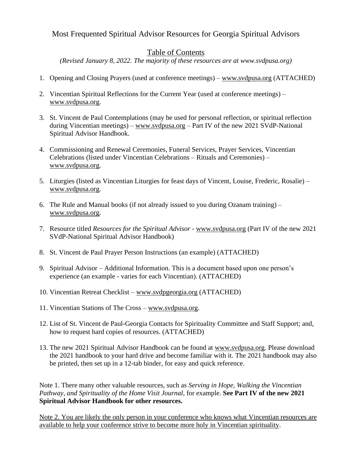# Most Frequented Spiritual Advisor Resources for Georgia Spiritual Advisors

# Table of Contents

*(Revised January 8, 2022. The majority of these resources are at www.svdpusa.org)*

- 1. Opening and Closing Prayers (used at conference meetings) [www.svdpusa.org](http://www.svdpusa.org/) (ATTACHED)
- 2. Vincentian Spiritual Reflections for the Current Year (used at conference meetings) [www.svdpusa.org.](http://www.svdpusa.org/)
- 3. St. Vincent de Paul Contemplations (may be used for personal reflection, or spiritual reflection during Vincentian meetings) – [www.svdpusa.org](http://www.svdpusa.org/) – Part IV of the new 2021 SVdP-National Spiritual Advisor Handbook.
- 4. Commissioning and Renewal Ceremonies, Funeral Services, Prayer Services, Vincentian Celebrations (listed under Vincentian Celebrations – Rituals and Ceremonies) – [www.svdpusa.org.](http://www.svdpusa.org/)
- 5. Liturgies (listed as Vincentian Liturgies for feast days of Vincent, Louise, Frederic, Rosalie) [www.svdpusa.org.](http://www.svdpusa.org/)
- 6. The Rule and Manual books (if not already issued to you during Ozanam training) [www.svdpusa.org.](http://www.svdpusa.org/)
- 7. Resource titled *Resources for the Spiritual Advisor* www.svdpusa.org (Part IV of the new 2021 SVdP-National Spiritual Advisor Handbook)
- 8. St. Vincent de Paul Prayer Person Instructions (an example) (ATTACHED)
- 9. Spiritual Advisor Additional Information. This is a document based upon one person's experience (an example - varies for each Vincentian). (ATTACHED)
- 10. Vincentian Retreat Checklist [www.svdpgeorgia.org](http://www.svdpgeorgia.org/) (ATTACHED)
- 11. Vincentian Stations of The Cross www.svdpusa.org.
- 12. List of St. Vincent de Paul-Georgia Contacts for Spirituality Committee and Staff Support; and, how to request hard copies of resources. (ATTACHED)
- 13. The new 2021 Spiritual Advisor Handbook can be found at www.svdpusa.org. Please download the 2021 handbook to your hard drive and become familiar with it. The 2021 handbook may also be printed, then set up in a 12-tab binder, for easy and quick reference.

Note 1. There many other valuable resources, such as *Serving in Hope, Walking the Vincentian Pathway, and Spirituality of the Home Visit Journal*, for example. **See Part IV of the new 2021 Spiritual Advisor Handbook for other resources.** 

Note 2. You are likely the only person in your conference who knows what Vincentian resources are available to help your conference strive to become more holy in Vincentian spirituality.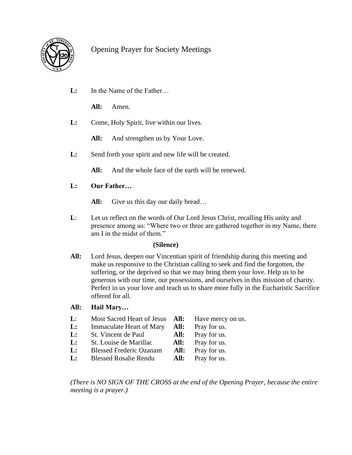

# Opening Prayer for Society Meetings

**L:** In the Name of the Father…

 **All:** Amen.

**L:** Come, Holy Spirit, live within our lives.

All: And strengthen us by Your Love.

**L:** Send forth your spirit and new life will be created.

All: And the whole face of the earth will be renewed.

# **L: Our Father…**

- All: Give us this day our daily bread...
- **L**: Let us reflect on the words of Our Lord Jesus Christ, recalling His unity and presence among us: "Where two or three are gathered together in my Name, there am I in the midst of them."

## **(Silence)**

**All:** Lord Jesus, deepen our Vincentian spirit of friendship during this meeting and make us responsive to the Christian calling to seek and find the forgotten, the suffering, or the deprived so that we may bring them your love. Help us to be generous with our time, our possessions, and ourselves in this mission of charity. Perfect in us your love and teach us to share more fully in the Eucharistic Sacrifice offered for all.

## **All: Hail Mary…**

- **L**: Most Sacred Heart of Jesus **All:** Have mercy on us.
- **L:** Immaculate Heart of Mary **All:** Pray for us.
- **L:** St. Vincent de Paul **All:** Pray for us.
- **L:** St. Louise de Marillac **All:** Pray for us.
- **L:** Blessed Frederic Ozanam **All:** Pray for us.
- **L:** Blessed Rosalie Rendu **All:** Pray for us.

*(There is NO SIGN OF THE CROSS at the end of the Opening Prayer, because the entire meeting is a prayer.)*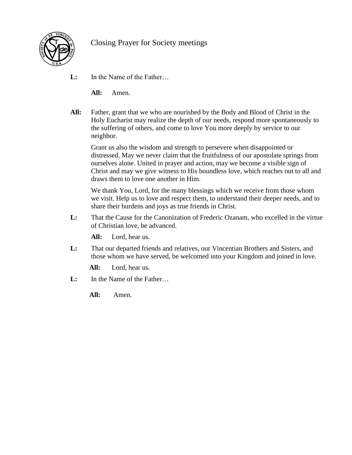

# Closing Prayer for Society meetings

**L:** In the Name of the Father…

 **All:** Amen.

**All:** Father, grant that we who are nourished by the Body and Blood of Christ in the Holy Eucharist may realize the depth of our needs, respond more spontaneously to the suffering of others, and come to love You more deeply by service to our neighbor.

 Grant us also the wisdom and strength to persevere when disappointed or distressed. May we never claim that the fruitfulness of our apostolate springs from ourselves alone. United in prayer and action, may we become a visible sign of Christ and may we give witness to His boundless love, which reaches out to all and draws them to love one another in Him.

 We thank You, Lord, for the many blessings which we receive from those whom we visit. Help us to love and respect them, to understand their deeper needs, and to share their burdens and joys as true friends in Christ.

**L:** That the Cause for the Canonization of Frederic Ozanam, who excelled in the virtue of Christian love, be advanced.

 **All:** Lord, hear us.

**L:** That our departed friends and relatives, our Vincentian Brothers and Sisters, and those whom we have served, be welcomed into your Kingdom and joined in love.

 **All:** Lord, hear us.

**L:** In the Name of the Father…

 **All:** Amen.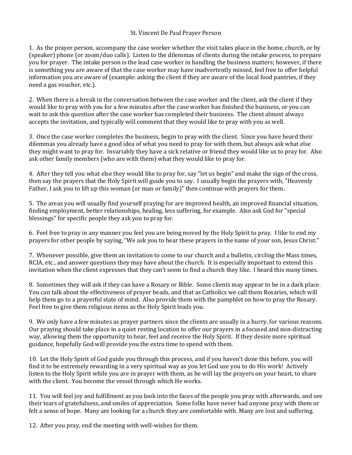## St. Vincent De Paul Prayer Person

1. As the prayer person, accompany the case worker whether the visit takes place in the home, church, or by (speaker) phone (or zoom/duo calls). Listen to the dilemmas of clients during the intake process, to prepare you for prayer. The intake person is the lead case worker in handling the business matters; however, if there is something you are aware of that the case worker may have inadvertently missed, feel free to offer helpful information you are aware of (example: asking the client if they are aware of the local food pantries, if they need a gas voucher, etc.).

2. When there is a break in the conversation between the case worker and the client, ask the client if they would like to pray with you for a few minutes after the case worker has finished the business, or you can wait to ask this question after the case worker has completed their business. The client almost always accepts the invitation, and typically will comment that they would like to pray with you as well.

3. Once the case worker completes the business, begin to pray with the client. Since you have heard their dilemmas you already have a good idea of what you need to pray for with them, but always ask what else they might want to pray for. Invariably they have a sick relative or friend they would like us to pray for. Also ask other family members (who are with them) what they would like to pray for.

4. After they tell you what else they would like to pray for, say "let us begin" and make the sign of the cross, then say the prayers that the Holy Spirit will guide you to say. I usually begin the prayers with, "Heavenly Father, I ask you to lift up this woman (or man or family)" then continue with prayers for them.

5. The areas you will usually find yourself praying for are improved health, an improved financial situation, finding employment, better relationships, healing, less suffering, for example. Also ask God for "special blessings" for specific people they ask you to pray for.

6. Feel free to pray in any manner you feel you are being moved by the Holy Spirit to pray. I like to end my prayers for other people by saying, "We ask you to hear these prayers in the name of your son, Jesus Christ."

7. Whenever possible, give them an invitation to come to our church and a bulletin, circling the Mass times, RCIA, etc., and answer questions they may have about the church. It is especially important to extend this invitation when the client expresses that they can't seem to find a church they like. I heard this many times.

8. Sometimes they will ask if they can have a Rosary or Bible. Some clients may appear to be in a dark place. You can talk about the effectiveness of prayer beads, and that as Catholics we call them Rosaries, which will help them go to a prayerful state of mind. Also provide them with the pamphlet on how to pray the Rosary. Feel free to give them religious items as the Holy Spirit leads you.

9. We only have a few minutes as prayer partners since the clients are usually in a hurry, for various reasons. Our praying should take place in a quiet resting location to offer our prayers in a focused and non-distracting way, allowing them the opportunity to hear, feel and receive the Holy Spirit. If they desire more spiritual guidance, hopefully God will provide you the extra time to spend with them.

10. Let the Holy Spirit of God guide you through this process, and if you haven't done this before, you will find it to be extremely rewarding in a very spiritual way as you let God use you to do His work! Actively listen to the Holy Spirit while you are in prayer with them, as he will lay the prayers on your heart, to share with the client. You become the vessel through which He works.

11. You will feel joy and fulfillment as you look into the faces of the people you pray with afterwards, and see their tears of gratefulness, and smiles of appreciation. Some folks have never had anyone pray with them or felt a sense of hope. Many are looking for a church they are comfortable with. Many are lost and suffering.

12. After you pray, end the meeting with well-wishes for them.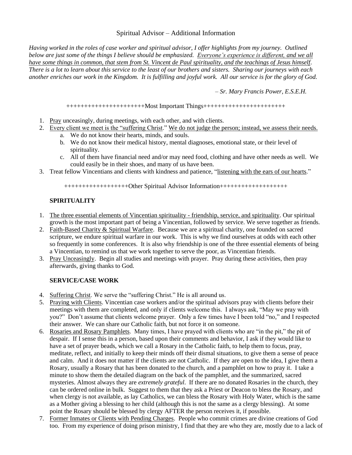## Spiritual Advisor – Additional Information

*Having worked in the roles of case worker and spiritual advisor, I offer highlights from my journey. Outlined below are just some of the things I believe should be emphasized. Everyone's experience is different, and we all have some things in common, that stem from St. Vincent de Paul spirituality, and the teachings of Jesus himself. There is a lot to learn about this service to the least of our brothers and sisters. Sharing our journeys with each another enriches our work in the Kingdom. It is fulfilling and joyful work. All our service is for the glory of God.*

*– Sr. Mary Francis Power, E.S.E.H.*

++++++++++++++++++++++Most Important Things+++++++++++++++++++++++

- 1. Pray unceasingly, during meetings, with each other, and with clients.
- 2. Every client we meet is the "suffering Christ." We do not judge the person; instead, we assess their needs. a. We do not know their hearts, minds, and souls.
	-
	- b. We do not know their medical history, mental diagnoses, emotional state, or their level of spirituality.
	- c. All of them have financial need and/or may need food, clothing and have other needs as well. We could easily be in their shoes, and many of us have been.
- 3. Treat fellow Vincentians and clients with kindness and patience, "listening with the ears of our hearts."

++++++++++++++++++Other Spiritual Advisor Information+++++++++++++++++++

## **SPIRITUALITY**

- 1. The three essential elements of Vincentian spirituality friendship, service, and spirituality. Our spiritual growth is the most important part of being a Vincentian, followed by service. We serve together as friends.
- 2. Faith-Based Charity & Spiritual Warfare. Because we are a spiritual charity, one founded on sacred scripture, we endure spiritual warfare in our work. This is why we find ourselves at odds with each other so frequently in some conferences. It is also why friendship is one of the three essential elements of being a Vincentian, to remind us that we work together to serve the poor, as Vincentian friends.
- 3. Pray Unceasingly. Begin all studies and meetings with prayer. Pray during these activities, then pray afterwards, giving thanks to God.

## **SERVICE/CASE WORK**

- 4. Suffering Christ. We serve the "suffering Christ." He is all around us.
- 5. Praying with Clients. Vincentian case workers and/or the spiritual advisors pray with clients before their meetings with them are completed, and only if clients welcome this. I always ask, "May we pray with you?" Don't assume that clients welcome prayer. Only a few times have I been told "no," and I respected their answer. We can share our Catholic faith, but not force it on someone.
- 6. Rosaries and Rosary Pamphlets. Many times, I have prayed with clients who are "in the pit," the pit of despair. If I sense this in a person, based upon their comments and behavior, I ask if they would like to have a set of prayer beads, which we call a Rosary in the Catholic faith, to help them to focus, pray, meditate, reflect, and initially to keep their minds off their dismal situations, to give them a sense of peace and calm. And it does not matter if the clients are not Catholic. If they are open to the idea, I give them a Rosary, usually a Rosary that has been donated to the church, and a pamphlet on how to pray it. I take a minute to show them the detailed diagram on the back of the pamphlet, and the summarized, sacred mysteries. Almost always they are *extremely grateful*. If there are no donated Rosaries in the church, they can be ordered online in bulk. Suggest to them that they ask a Priest or Deacon to bless the Rosary, and when clergy is not available, as lay Catholics, we can bless the Rosary with Holy Water, which is the same as a Mother giving a blessing to her child (although this is not the same as a clergy blessing). At some point the Rosary should be blessed by clergy AFTER the person receives it, if possible.
- 7. Former Inmates or Clients with Pending Charges. People who commit crimes are divine creations of God too. From my experience of doing prison ministry, I find that they are who they are, mostly due to a lack of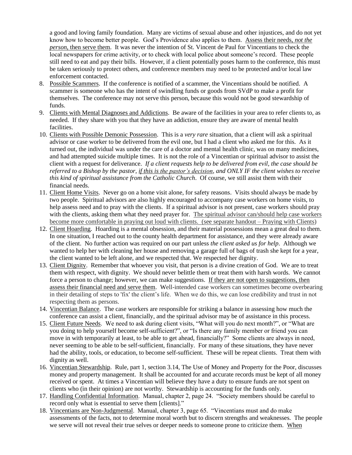a good and loving family foundation. Many are victims of sexual abuse and other injustices, and do not yet know how to become better people. God's Providence also applies to them. Assess their needs, *not the person*, then serve them. It was never the intention of St. Vincent de Paul for Vincentians to check the local newspapers for crime activity, or to check with local police about someone's record. These people still need to eat and pay their bills. However, if a client potentially poses harm to the conference, this must be taken seriously to protect others, and conference members may need to be protected and/or local law enforcement contacted.

- 8. Possible Scammers. If the conference is notified of a scammer, the Vincentians should be notified. A scammer is someone who has the intent of swindling funds or goods from SVdP to make a profit for themselves. The conference may not serve this person, because this would not be good stewardship of funds.
- 9. Clients with Mental Diagnoses and Addictions. Be aware of the facilities in your area to refer clients to, as needed. If they share with you that they have an addiction, ensure they are aware of mental health facilities.
- 10. Clients with Possible Demonic Possession. This is a *very rare* situation, that a client will ask a spiritual advisor or case worker to be delivered from the evil one, but I had a client who asked me for this. As it turned out, the individual was under the care of a doctor and mental health clinic, was on many medicines, and had attempted suicide multiple times. It is not the role of a Vincentian or spiritual advisor to assist the client with a request for deliverance. *If a client requests help to be delivered from evil, the case should be referred to a Bishop by the pastor, if this is the pastor's decision, and ONLY IF the client wishes to receive this kind of spiritual assistance from the Catholic Church*. Of course, we still assist them with their financial needs.
- 11. Client Home Visits. Never go on a home visit alone, for safety reasons. Visits should always be made by two people. Spiritual advisors are also highly encouraged to accompany case workers on home visits, to help assess need and to pray with the clients. If a spiritual advisor is not present, case workers should pray with the clients, asking them what they need prayer for. The spiritual advisor can/should help case workers become more comfortable in praying out loud with clients. (see separate handout – Praying with Clients)
- 12. Client Hoarding. Hoarding is a mental obsession, and their material possessions mean a great deal to them. In one situation, I reached out to the county health department for assistance, and they were already aware of the client. No further action was required on our part unless *the client asked us for help*. Although we wanted to help her with cleaning her house and removing a garage full of bags of trash she kept for a year, the client wanted to be left alone, and we respected that. We respected her dignity.
- 13. Client Dignity. Remember that whoever you visit, that person is a divine creation of God. We are to treat them with respect, with dignity. We should never belittle them or treat them with harsh words. We cannot force a person to change; however, we can make suggestions. If they are not open to suggestions, then assess their financial need and serve them. Well-intended case workers can sometimes become overbearing in their detailing of steps to 'fix' the client's life. When we do this, we can lose credibility and trust in not respecting them as persons.
- 14. Vincentian Balance. The case workers are responsible for striking a balance in assessing how much the conference can assist a client, financially, and the spiritual advisor may be of assistance in this process.
- 15. Client Future Needs. We need to ask during client visits, "What will you do next month?", or "What are you doing to help yourself become self-sufficient?", or "Is there any family member or friend you can move in with temporarily at least, to be able to get ahead, financially?" Some clients are always in need, never seeming to be able to be self-sufficient, financially. For many of these situations, they have never had the ability, tools, or education, to become self-sufficient. These will be repeat clients. Treat them with dignity as well.
- 16. Vincentian Stewardship. Rule, part 1, section 3.14, The Use of Money and Property for the Poor, discusses money and property management. It shall be accounted for and accurate records must be kept of all money received or spent. At times a Vincentian will believe they have a duty to ensure funds are not spent on clients who (in their opinion) are not worthy. Stewardship is accounting for the funds only.
- 17. Handling Confidential Information. Manual, chapter 2, page 24. "Society members should be careful to record only what is essential to serve them [clients]."
- 18. Vincentians are Non-Judgmental. Manual, chapter 3, page 65. "Vincentians must and do make assessments of the facts, not to determine moral worth but to discern strengths and weaknesses. The people we serve will not reveal their true selves or deeper needs to someone prone to criticize them. When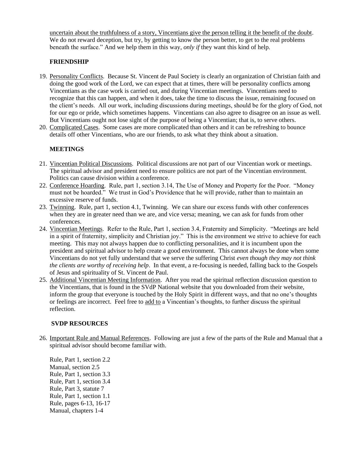uncertain about the truthfulness of a story, Vincentians give the person telling it the benefit of the doubt. We do not reward deception, but try, by getting to know the person better, to get to the real problems beneath the surface." And we help them in this way, *only if* they want this kind of help.

## **FRIENDSHIP**

- 19. Personality Conflicts. Because St. Vincent de Paul Society is clearly an organization of Christian faith and doing the good work of the Lord, we can expect that at times, there will be personality conflicts among Vincentians as the case work is carried out, and during Vincentian meetings. Vincentians need to recognize that this can happen, and when it does, take the time to discuss the issue, remaining focused on the client's needs. All our work, including discussions during meetings, should be for the glory of God, not for our ego or pride, which sometimes happens. Vincentians can also agree to disagree on an issue as well. But Vincentians ought not lose sight of the purpose of being a Vincentian; that is, to serve others.
- 20. Complicated Cases. Some cases are more complicated than others and it can be refreshing to bounce details off other Vincentians, who are our friends, to ask what they think about a situation.

## **MEETINGS**

- 21. Vincentian Political Discussions. Political discussions are not part of our Vincentian work or meetings. The spiritual advisor and president need to ensure politics are not part of the Vincentian environment. Politics can cause division within a conference.
- 22. Conference Hoarding. Rule, part 1, section 3.14, The Use of Money and Property for the Poor. "Money must not be hoarded." We trust in God's Providence that he will provide, rather than to maintain an excessive reserve of funds.
- 23. Twinning. Rule, part 1, section 4.1, Twinning. We can share our excess funds with other conferences when they are in greater need than we are, and vice versa; meaning, we can ask for funds from other conferences.
- 24. Vincentian Meetings. Refer to the Rule, Part 1, section 3.4, Fraternity and Simplicity. "Meetings are held in a spirit of fraternity, simplicity and Christian joy." This is the environment we strive to achieve for each meeting. This may not always happen due to conflicting personalities, and it is incumbent upon the president and spiritual advisor to help create a good environment. This cannot always be done when some Vincentians do not yet fully understand that we serve the suffering Christ *even though they may not think the clients are worthy of receiving help*. In that event, a re-focusing is needed, falling back to the Gospels of Jesus and spirituality of St. Vincent de Paul.
- 25. Additional Vincentian Meeting Information. After you read the spiritual reflection discussion question to the Vincentians, that is found in the SVdP National website that you downloaded from their website, inform the group that everyone is touched by the Holy Spirit in different ways, and that no one's thoughts or feelings are incorrect. Feel free to add to a Vincentian's thoughts, to further discuss the spiritual reflection.

#### **SVDP RESOURCES**

26. Important Rule and Manual References. Following are just a few of the parts of the Rule and Manual that a spiritual advisor should become familiar with.

Rule, Part 1, section 2.2 Manual, section 2.5 Rule, Part 1, section 3.3 Rule, Part 1, section 3.4 Rule, Part 3, statute 7 Rule, Part 1, section 1.1 Rule, pages 6-13, 16-17 Manual, chapters 1-4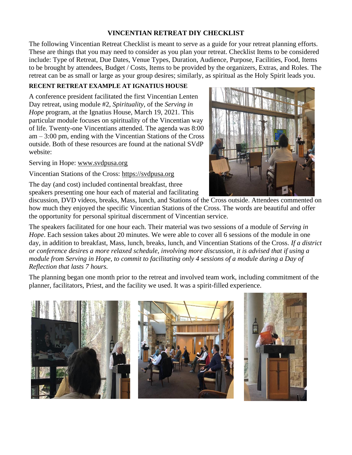# **VINCENTIAN RETREAT DIY CHECKLIST**

The following Vincentian Retreat Checklist is meant to serve as a guide for your retreat planning efforts. These are things that you may need to consider as you plan your retreat. Checklist Items to be considered include: Type of Retreat, Due Dates, Venue Types, Duration, Audience, Purpose, Facilities, Food, Items to be brought by attendees, Budget / Costs, Items to be provided by the organizers, Extras, and Roles. The retreat can be as small or large as your group desires; similarly, as spiritual as the Holy Spirit leads you.

## **RECENT RETREAT EXAMPLE AT IGNATIUS HOUSE**

A conference president facilitated the first Vincentian Lenten Day retreat, using module #2, *Spirituality*, of the *Serving in Hope* program, at the Ignatius House, March 19, 2021. This particular module focuses on spirituality of the Vincentian way of life. Twenty-one Vincentians attended. The agenda was 8:00 am – 3:00 pm, ending with the Vincentian Stations of the Cross outside. Both of these resources are found at the national SVdP website:

Serving in Hope: [www.svdpusa.org](http://www.svdpusa.org/)

Vincentian Stations of the Cross: [https://svdpusa.org](https://svdpusa.org/Portals/1/Stations%20of%20the%20Cross%20-%20Letter%20Size.pdf)

The day (and cost) included continental breakfast, three speakers presenting one hour each of material and facilitating

discussion, DVD videos, breaks, Mass, lunch, and Stations of the Cross outside. Attendees commented on how much they enjoyed the specific Vincentian Stations of the Cross. The words are beautiful and offer the opportunity for personal spiritual discernment of Vincentian service.

The speakers facilitated for one hour each. Their material was two sessions of a module of *Serving in Hope*. Each session takes about 20 minutes. We were able to cover all 6 sessions of the module in one day, in addition to breakfast, Mass, lunch, breaks, lunch, and Vincentian Stations of the Cross. *If a district or conference desires a more relaxed schedule, involving more discussion, it is advised that if using a module from Serving in Hope, to commit to facilitating only 4 sessions of a module during a Day of Reflection that lasts 7 hours.*

The planning began one month prior to the retreat and involved team work, including commitment of the planner, facilitators, Priest, and the facility we used. It was a spirit-filled experience.



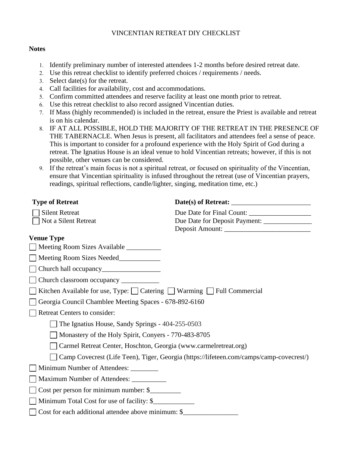## VINCENTIAN RETREAT DIY CHECKLIST

### **Notes**

- Identify preliminary number of interested attendees 1-2 months before desired retreat date.
- Use this retreat checklist to identify preferred choices / requirements / needs.
- Select date(s) for the retreat.
- Call facilities for availability, cost and accommodations.
- Confirm committed attendees and reserve facility at least one month prior to retreat.
- Use this retreat checklist to also record assigned Vincentian duties.
- If Mass (highly recommended) is included in the retreat, ensure the Priest is available and retreat is on his calendar.
- IF AT ALL POSSIBLE, HOLD THE MAJORITY OF THE RETREAT IN THE PRESENCE OF THE TABERNACLE. When Jesus is present, all facilitators and attendees feel a sense of peace. This is important to consider for a profound experience with the Holy Spirit of God during a retreat. The Ignatius House is an ideal venue to hold Vincentian retreats; however, if this is not possible, other venues can be considered.
- If the retreat's main focus is not a spiritual retreat, or focused on spirituality of the Vincentian, ensure that Vincentian spirituality is infused throughout the retreat (use of Vincentian prayers, readings, spiritual reflections, candle/lighter, singing, meditation time, etc.)

| <b>Type of Retreat</b>                                                  |                                                                                         |
|-------------------------------------------------------------------------|-----------------------------------------------------------------------------------------|
| <b>Silent Retreat</b>                                                   |                                                                                         |
| Not a Silent Retreat                                                    | Due Date for Deposit Payment: _______________                                           |
|                                                                         |                                                                                         |
| <b>Venue Type</b>                                                       |                                                                                         |
| Meeting Room Sizes Available __________                                 |                                                                                         |
| Meeting Room Sizes Needed                                               |                                                                                         |
|                                                                         |                                                                                         |
| Church classroom occupancy ____________                                 |                                                                                         |
| Kitchen Available for use, Type: □ Catering □ Warming □ Full Commercial |                                                                                         |
| Georgia Council Chamblee Meeting Spaces - 678-892-6160                  |                                                                                         |
| <b>Retreat Centers to consider:</b>                                     |                                                                                         |
| The Ignatius House, Sandy Springs - 404-255-0503                        |                                                                                         |
| Monastery of the Holy Spirit, Conyers - 770-483-8705                    |                                                                                         |
| Carmel Retreat Center, Hoschton, Georgia (www.carmelretreat.org)        |                                                                                         |
|                                                                         | Camp Covecrest (Life Teen), Tiger, Georgia (https://lifeteen.com/camps/camp-covecrest/) |
| Minimum Number of Attendees: ________                                   |                                                                                         |
| Maximum Number of Attendees: ____________                               |                                                                                         |
| Cost per person for minimum number: \$                                  |                                                                                         |
| Minimum Total Cost for use of facility: \$                              |                                                                                         |
| Cost for each additional attendee above minimum: \$                     |                                                                                         |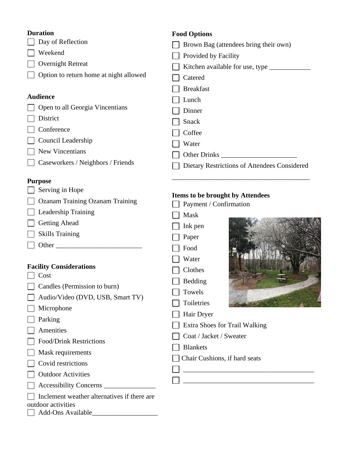# **Duration**

Day of Reflection

Weekend

Overnight Retreat

□ Option to return home at night allowed

## **Audience**

□ Open to all Georgia Vincentians

- District
- Conference

Council Leadership

- **New Vincentians**
- Caseworkers / Neighbors / Friends

## **Purpose**

 $\Box$  Serving in Hope

| <b>Ozanam Training Ozanam Training</b> |  |
|----------------------------------------|--|
|----------------------------------------|--|

- **Leadership Training**
- Getting Ahead
- $\Box$  Skills Training
- Other \_\_\_\_\_\_\_\_\_\_\_\_\_\_\_\_\_\_\_\_\_\_\_\_\_

## **Facility Considerations**

- $\Box$  Cost
- Candles (Permission to burn)
- $\Box$  Audio/Video (DVD, USB, Smart
- **Microphone**
- $\Box$  Parking
- **Amenities**
- **Food/Drink Restrictions**
- **Mask requirements**
- $\Box$  Covid restrictions
- **Outdoor Activities**
- Accessibility Concerns \_\_\_\_\_\_\_\_\_\_\_\_\_\_\_

| $\Box$ Inclement weather alternatives if there are |
|----------------------------------------------------|
|----------------------------------------------------|

outdoor activities

| Add-Ons Available |
|-------------------|
|                   |

## **Food Options**

- **Brown Bag (attendees bring their own)**  $\Box$  Provided by Facility Kitchen available for use, type \_\_\_\_\_\_\_\_\_\_\_\_ □ Catered Breakfast **Lunch**  Dinner Snack  $\Box$  Coffee **Water**
- Other Drinks \_\_\_\_\_\_\_\_\_\_\_\_\_\_\_\_\_\_\_\_\_\_
- Dietary Restrictions of Attendees Considered

\_\_\_\_\_\_\_\_\_\_\_\_\_\_\_\_\_\_\_\_\_\_\_\_\_\_\_\_\_\_\_\_\_\_\_\_\_\_\_\_

## **Items to be brought by Attendees**

| nng         | Payment / Confirmation                                                      |  |  |
|-------------|-----------------------------------------------------------------------------|--|--|
|             | Mask                                                                        |  |  |
|             | Ink pen                                                                     |  |  |
|             | Paper                                                                       |  |  |
|             | Food                                                                        |  |  |
|             | Water                                                                       |  |  |
|             | Clothes                                                                     |  |  |
|             | Bedding                                                                     |  |  |
|             | Towels                                                                      |  |  |
| rt TV       | Toiletries                                                                  |  |  |
|             | Hair Dryer                                                                  |  |  |
|             | Extra Shoes for Trail Walking                                               |  |  |
|             | Coat / Jacket / Sweater<br><b>Blankets</b><br>Chair Cushions, if hard seats |  |  |
|             |                                                                             |  |  |
|             |                                                                             |  |  |
|             |                                                                             |  |  |
|             |                                                                             |  |  |
| f there are |                                                                             |  |  |
|             |                                                                             |  |  |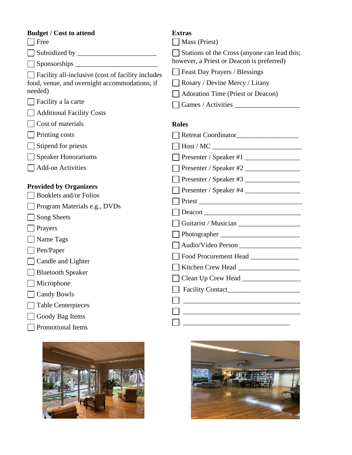| <b>Budget / Cost to attend</b>                     | <b>Extras</b>                                |
|----------------------------------------------------|----------------------------------------------|
| Free                                               | Mass (Priest)                                |
|                                                    | Stations of the Cross (anyone can lead this; |
| $S_{\text{ponsorships}}$                           | however, a Priest or Deacon is preferred)    |
| Facility all-inclusive (cost of facility includes) | Feast Day Prayers / Blessings                |
| food, venue, and overnight accommodations, if      | Rosary / Devine Mercy / Litany               |
| needed)                                            | <b>Adoration Time (Priest or Deacon)</b>     |
| Facility a la carte                                | Games / Activities                           |
| <b>Additional Facility Costs</b>                   |                                              |
| Cost of materials                                  | <b>Roles</b>                                 |
| Printing costs                                     |                                              |
| Stipend for priests                                |                                              |
| Speaker Honorariums                                | Presenter / Speaker #1 $\frac{1}{1}$         |
| <b>Add-on Activities</b>                           | Presenter / Speaker #2                       |
|                                                    | Presenter / Speaker #3                       |
| <b>Provided by Organizers</b>                      | Presenter / Speaker #4                       |
| <b>Booklets and/or Folios</b>                      |                                              |
| $\Box$ Program Materials e.g., DVDs                |                                              |
| Song Sheets                                        |                                              |
| Prayers                                            |                                              |
| Name Tags                                          |                                              |
| Pen/Paper                                          |                                              |
| Candle and Lighter                                 | Food Procurement Head                        |
| <b>Bluetooth Speaker</b>                           |                                              |
| Microphone                                         |                                              |
| Candy Bowls                                        | Facility Contact_                            |
| <b>Table Centerpieces</b>                          |                                              |
| Goody Bag Items                                    |                                              |
| Promotional Items                                  |                                              |
|                                                    |                                              |



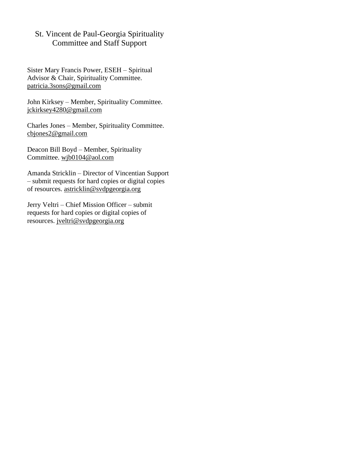# St. Vincent de Paul-Georgia Spirituality Committee and Staff Support

Sister Mary Francis Power, ESEH – Spiritual Advisor & Chair, Spirituality Committee. [patricia.3sons@gmail.com](mailto:patricia.3sons@gmail.com)

John Kirksey – Member, Spirituality Committee. [jckirksey4280@gmail.com](mailto:jckirksey4280@gmail.com)

Charles Jones – Member, Spirituality Committee. [cbjones2@gmail.com](mailto:cbjones2@gmail.com)

Deacon Bill Boyd – Member, Spirituality Committee. [wjb0104@aol.com](mailto:wjb0104@aol.com)

Amanda Stricklin – Director of Vincentian Support – submit requests for hard copies or digital copies of resources. [astricklin@svdpgeorgia.org](mailto:astricklin@svdpgeorgia.org)

Jerry Veltri – Chief Mission Officer – submit requests for hard copies or digital copies of resources. [jveltri@svdpgeorgia.org](mailto:jveltri@svdpgeorgia.org)